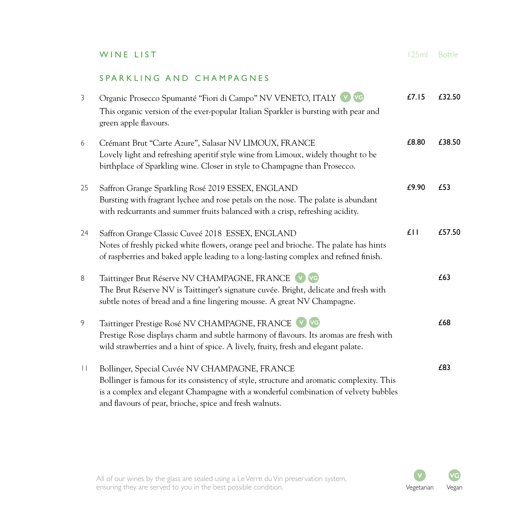## SPARKLING AND CHAMPAGNES

| 3       | Organic Prosecco Spumanté "Fiori di Campo" NV VENETO, ITALY VO<br>This organic version of the ever-popular Italian Sparkler is bursting with pear and<br>green apple flavours.                                                                                                              | £7.15          | £32.50 |
|---------|---------------------------------------------------------------------------------------------------------------------------------------------------------------------------------------------------------------------------------------------------------------------------------------------|----------------|--------|
| 6       | Crémant Brut "Carte Azure", Salasar NV LIMOUX, FRANCE<br>Lovely light and refreshing aperitif style wine from Limoux, widely thought to be<br>birthplace of Sparkling wine. Closer in style to Champagne than Prosecco.                                                                     | £8.80          | £38.50 |
| 25      | Saffron Grange Sparkling Rosé 2019 ESSEX, ENGLAND<br>Bursting with fragrant lychee and rose petals on the nose. The palate is abundant<br>with redcurrants and summer fruits balanced with a crisp, refreshing acidity.                                                                     | £9.90          | £53    |
| 24      | Saffron Grange Classic Cuveé 2018 ESSEX, ENGLAND<br>Notes of freshly picked white flowers, orange peel and brioche. The palate has hints<br>of raspberries and baked apple leading to a long-lasting complex and refined finish.                                                            | $f \mid \cdot$ | £57.50 |
| 8       | Taittinger Brut Réserve NV CHAMPAGNE, FRANCE V VG<br>The Brut Réserve NV is Taittinger's signature cuvée. Bright, delicate and fresh with<br>subtle notes of bread and a fine lingering mousse. A great NV Champagne.                                                                       |                | £63    |
| 9       | Taittinger Prestige Rosé NV CHAMPAGNE, FRANCE V VG<br>Prestige Rose displays charm and subtle harmony of flavours. Its aromas are fresh with<br>wild strawberries and a hint of spice. A lively, fruity, fresh and elegant palate.                                                          |                | £68    |
| $\perp$ | Bollinger, Special Cuvée NV CHAMPAGNE, FRANCE<br>Bollinger is famous for its consistency of style, structure and aromatic complexity. This<br>is a complex and elegant Champagne with a wonderful combination of velvety bubbles<br>and flavours of pear, brioche, spice and fresh walnuts. |                | £83    |

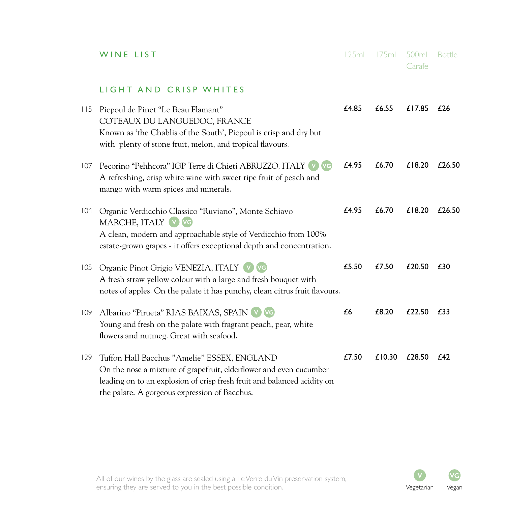|     | WINE LIST                                                                                                                                                                                                                                     | 125ml | 175ml  | 500 <sub>ml</sub><br>Carafe | <b>Bottle</b> |
|-----|-----------------------------------------------------------------------------------------------------------------------------------------------------------------------------------------------------------------------------------------------|-------|--------|-----------------------------|---------------|
|     | LIGHT AND CRISP WHITES                                                                                                                                                                                                                        |       |        |                             |               |
| 115 | Picpoul de Pinet "Le Beau Flamant"<br>COTEAUX DU LANGUEDOC, FRANCE<br>Known as 'the Chablis of the South', Picpoul is crisp and dry but<br>with plenty of stone fruit, melon, and tropical flavours.                                          | £4.85 | £6.55  | £17.85                      | £26           |
| 107 | Pecorino "Pehhcora" IGP Terre di Chieti ABRUZZO, ITALY V VG<br>A refreshing, crisp white wine with sweet ripe fruit of peach and<br>mango with warm spices and minerals.                                                                      | £4.95 | £6.70  | £18.20                      | £26.50        |
| 104 | Organic Verdicchio Classico "Ruviano", Monte Schiavo<br>MARCHE, ITALY V VG<br>A clean, modern and approachable style of Verdicchio from 100%<br>estate-grown grapes - it offers exceptional depth and concentration.                          | £4.95 | £6.70  | £18.20                      | £26.50        |
| 105 | Organic Pinot Grigio VENEZIA, ITALY (v) VG<br>A fresh straw yellow colour with a large and fresh bouquet with<br>notes of apples. On the palate it has punchy, clean citrus fruit flavours.                                                   | £5.50 | £7.50  | £20.50                      | £30           |
| 109 | Albarino "Pirueta" RIAS BAIXAS, SPAIN V VG<br>Young and fresh on the palate with fragrant peach, pear, white<br>flowers and nutmeg. Great with seafood.                                                                                       | £6    | £8.20  | £22.50                      | £33           |
| 129 | Tuffon Hall Bacchus "Amelie" ESSEX, ENGLAND<br>On the nose a mixture of grapefruit, elderflower and even cucumber<br>leading on to an explosion of crisp fresh fruit and balanced acidity on<br>the palate. A gorgeous expression of Bacchus. | £7.50 | £10.30 | £28.50                      | £42           |

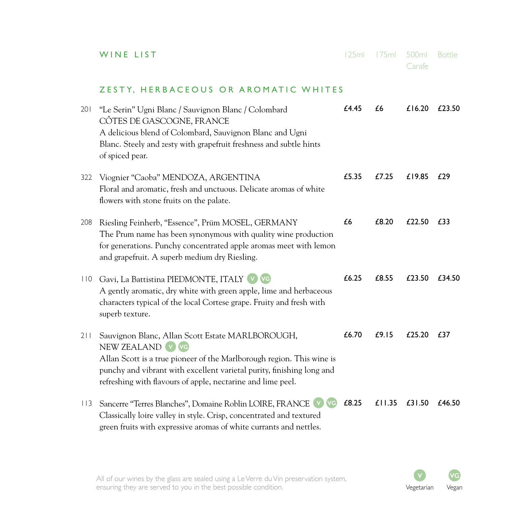|  | WINE LIST |  |  |  |  |  |
|--|-----------|--|--|--|--|--|
|--|-----------|--|--|--|--|--|

**WINE LIST** 125ml 175ml 500ml Bottle Carafe

## ZESTY, HERBACEOUS OR AROMATIC WHITES

| 201 | "Le Serin" Ugni Blanc / Sauvignon Blanc / Colombard<br>CÔTES DE GASCOGNE, FRANCE<br>A delicious blend of Colombard, Sauvignon Blanc and Ugni<br>Blanc. Steely and zesty with grapefruit freshness and subtle hints<br>of spiced pear.                                                 | £4.45 | £6     | £16.20 | £23.50 |
|-----|---------------------------------------------------------------------------------------------------------------------------------------------------------------------------------------------------------------------------------------------------------------------------------------|-------|--------|--------|--------|
| 322 | Viognier "Caoba" MENDOZA, ARGENTINA<br>Floral and aromatic, fresh and unctuous. Delicate aromas of white<br>flowers with stone fruits on the palate.                                                                                                                                  | £5.35 | £7.25  | £19.85 | £29    |
| 208 | Riesling Feinherb, "Essence", Prüm MOSEL, GERMANY<br>The Prum name has been synonymous with quality wine production<br>for generations. Punchy concentrated apple aromas meet with lemon<br>and grapefruit. A superb medium dry Riesling.                                             | £6    | £8.20  | £22.50 | £33    |
| 110 | Gavi, La Battistina PIEDMONTE, ITALY V VG<br>A gently aromatic, dry white with green apple, lime and herbaceous<br>characters typical of the local Cortese grape. Fruity and fresh with<br>superb texture.                                                                            | £6.25 | £8.55  | £23.50 | £34.50 |
| 211 | Sauvignon Blanc, Allan Scott Estate MARLBOROUGH,<br>NEW ZEALAND V VG<br>Allan Scott is a true pioneer of the Marlborough region. This wine is<br>punchy and vibrant with excellent varietal purity, finishing long and<br>refreshing with flavours of apple, nectarine and lime peel. | £6.70 | £9.15  | £25.20 | £37    |
| 113 | Sancerre "Terres Blanches", Domaine Roblin LOIRE, FRANCE<br>(VG)<br>Classically loire valley in style. Crisp, concentrated and textured<br>green fruits with expressive aromas of white currants and nettles.                                                                         | £8.25 | £11.35 | £31.50 | £46.50 |

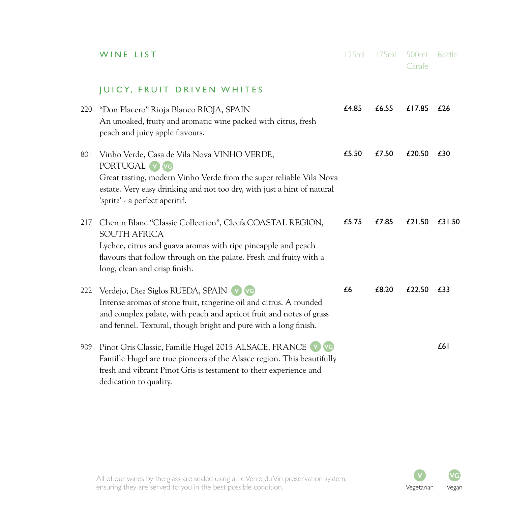|     | WINE LIST                                                                                                                                                                                                                                                 | 125ml | 175ml | 500ml<br>Carafe | <b>Bottle</b> |
|-----|-----------------------------------------------------------------------------------------------------------------------------------------------------------------------------------------------------------------------------------------------------------|-------|-------|-----------------|---------------|
|     | <b>JUICY, FRUIT DRIVEN WHITES</b>                                                                                                                                                                                                                         |       |       |                 |               |
| 220 | "Don Placero" Rioja Blanco RIOJA, SPAIN<br>An unoaked, fruity and aromatic wine packed with citrus, fresh<br>peach and juicy apple flavours.                                                                                                              | £4.85 | £6.55 | £17.85          | £26           |
| 801 | Vinho Verde, Casa de Vila Nova VINHO VERDE,<br>PORTUGAL V VG<br>Great tasting, modern Vinho Verde from the super reliable Vila Nova<br>estate. Very easy drinking and not too dry, with just a hint of natural<br>'spritz' - a perfect aperitif.          | £5.50 | £7.50 | £20.50          | £30           |
| 217 | Chenin Blanc "Classic Collection", Cleefs COASTAL REGION,<br><b>SOUTH AFRICA</b><br>Lychee, citrus and guava aromas with ripe pineapple and peach<br>flavours that follow through on the palate. Fresh and fruity with a<br>long, clean and crisp finish. | £5.75 | £7.85 | £21.50          | £31.50        |
| 222 | Verdejo, Diez Siglos RUEDA, SPAIN (v) VG<br>Intense aromas of stone fruit, tangerine oil and citrus. A rounded<br>and complex palate, with peach and apricot fruit and notes of grass<br>and fennel. Textural, though bright and pure with a long finish. | £6    | £8.20 | £22.50          | £33           |
| 909 | Pinot Gris Classic, Famille Hugel 2015 ALSACE, FRANCE V VG<br>Famille Hugel are true pioneers of the Alsace region. This beautifully<br>fresh and vibrant Pinot Gris is testament to their experience and<br>dedication to quality.                       |       |       |                 | £61           |

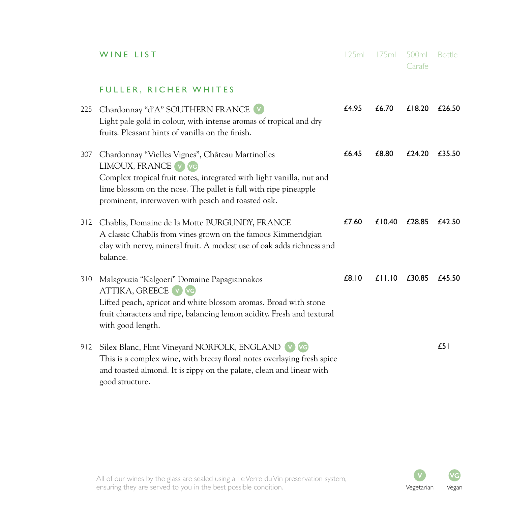|     | WINE LIST                                                                                                                                                                                                                                                                | 125ml | 175ml           | 500ml<br>Carafe | <b>Bottle</b> |
|-----|--------------------------------------------------------------------------------------------------------------------------------------------------------------------------------------------------------------------------------------------------------------------------|-------|-----------------|-----------------|---------------|
|     | FULLER, RICHER WHITES                                                                                                                                                                                                                                                    |       |                 |                 |               |
| 225 | Chardonnay "d'A" SOUTHERN FRANCE V<br>Light pale gold in colour, with intense aromas of tropical and dry<br>fruits. Pleasant hints of vanilla on the finish.                                                                                                             | £4.95 | £6.70           | £18.20          | £26.50        |
| 307 | Chardonnay "Vielles Vignes", Château Martinolles<br>LIMOUX, FRANCE V VG<br>Complex tropical fruit notes, integrated with light vanilla, nut and<br>lime blossom on the nose. The pallet is full with ripe pineapple<br>prominent, interwoven with peach and toasted oak. | £6.45 | £8.80           | £24.20          | £35.50        |
| 312 | Chablis, Domaine de la Motte BURGUNDY, FRANCE<br>A classic Chablis from vines grown on the famous Kimmeridgian<br>clay with nervy, mineral fruit. A modest use of oak adds richness and<br>balance.                                                                      | £7.60 | £10.40          | £28.85          | £42.50        |
| 310 | Malagouzia "Kalgoeri" Domaine Papagiannakos<br>ATTIKA, GREECE V VG<br>Lifted peach, apricot and white blossom aromas. Broad with stone<br>fruit characters and ripe, balancing lemon acidity. Fresh and textural<br>with good length.                                    | £8.10 | $£$   $.$   $0$ | £30.85          | $f$ 45.50     |
| 912 | Silex Blanc, Flint Vineyard NORFOLK, ENGLAND V VG<br>This is a complex wine, with breezy floral notes overlaying fresh spice<br>and toasted almond. It is zippy on the palate, clean and linear with<br>good structure.                                                  |       |                 |                 | £51           |

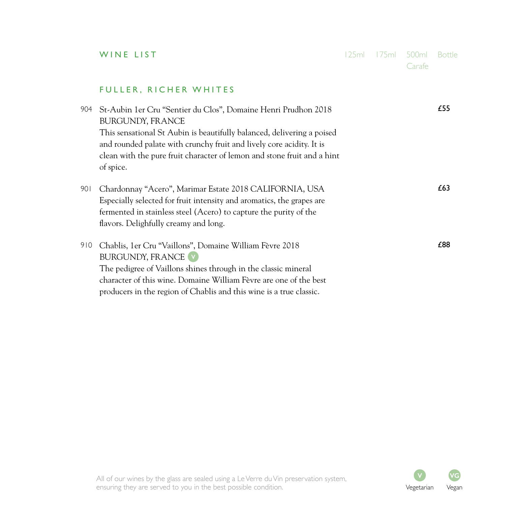|     | WINE LIST                                                                                                                                                                                                                                                                                                                           | 125ml | 175ml | 500ml<br>Carafe | <b>Bottle</b> |
|-----|-------------------------------------------------------------------------------------------------------------------------------------------------------------------------------------------------------------------------------------------------------------------------------------------------------------------------------------|-------|-------|-----------------|---------------|
|     | FULLER, RICHER WHITES                                                                                                                                                                                                                                                                                                               |       |       |                 |               |
| 904 | St-Aubin 1er Cru "Sentier du Clos", Domaine Henri Prudhon 2018<br><b>BURGUNDY, FRANCE</b><br>This sensational St Aubin is beautifully balanced, delivering a poised<br>and rounded palate with crunchy fruit and lively core acidity. It is<br>clean with the pure fruit character of lemon and stone fruit and a hint<br>of spice. |       |       |                 | £55           |
| 901 | Chardonnay "Acero", Marimar Estate 2018 CALIFORNIA, USA<br>Especially selected for fruit intensity and aromatics, the grapes are<br>fermented in stainless steel (Acero) to capture the purity of the<br>flavors. Delighfully creamy and long.                                                                                      |       |       |                 | £63           |
| 910 | Chablis, 1er Cru "Vaillons", Domaine William Fèvre 2018<br><b>BURGUNDY, FRANCE (v)</b><br>The pedigree of Vaillons shines through in the classic mineral<br>character of this wine. Domaine William Fèvre are one of the best<br>producers in the region of Chablis and this wine is a true classic.                                |       |       |                 | £88           |

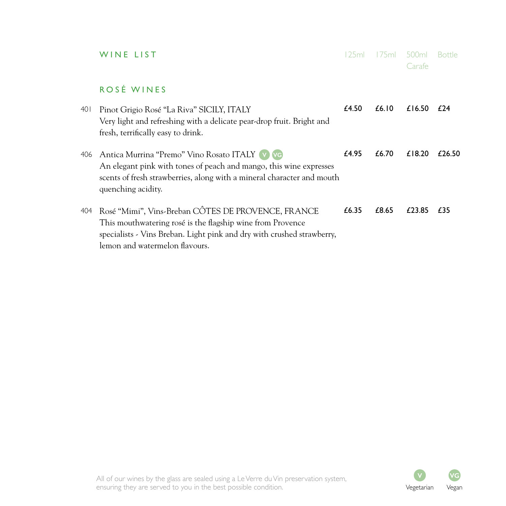|      | WINE LIST                                                                                                                                                                                                                    | 125ml | 175mL | 500m<br>Carafe | <b>Bottle</b> |
|------|------------------------------------------------------------------------------------------------------------------------------------------------------------------------------------------------------------------------------|-------|-------|----------------|---------------|
|      | ROSÉ WINES                                                                                                                                                                                                                   |       |       |                |               |
| 40 I | Pinot Grigio Rosé "La Riva" SICILY, ITALY<br>Very light and refreshing with a delicate pear-drop fruit. Bright and<br>fresh, terrifically easy to drink.                                                                     | £4.50 | £6.10 | £16.50         | f 24          |
| 406  | Antica Murrina "Premo" Vino Rosato ITALY V VG<br>An elegant pink with tones of peach and mango, this wine expresses<br>scents of fresh strawberries, along with a mineral character and mouth<br>quenching acidity.          | £4.95 | £6.70 | £18.20         | £26.50        |
| 404  | Rosé "Mimi", Vins-Breban CÔTES DE PROVENCE, FRANCE<br>This mouthwatering rosé is the flagship wine from Provence<br>specialists - Vins Breban. Light pink and dry with crushed strawberry,<br>lemon and watermelon flavours. | £6.35 | £8.65 | £23.85         | £35           |

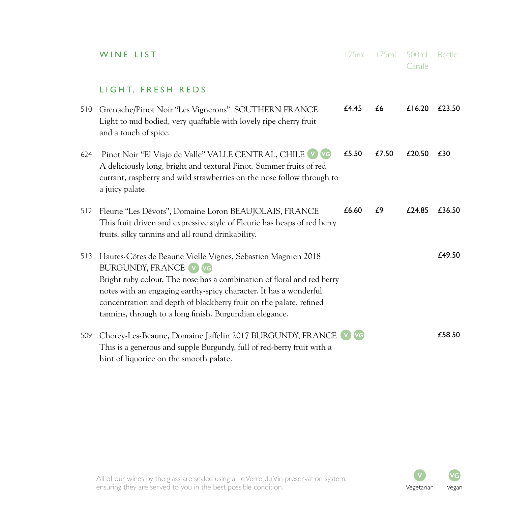|     | WINE LIST                                                                                                                                                                                                                                                                                                                                                                    | 125ml | 175ml | 500ml<br>Carafe | <b>Bottle</b> |
|-----|------------------------------------------------------------------------------------------------------------------------------------------------------------------------------------------------------------------------------------------------------------------------------------------------------------------------------------------------------------------------------|-------|-------|-----------------|---------------|
|     | LIGHT, FRESH REDS                                                                                                                                                                                                                                                                                                                                                            |       |       |                 |               |
| 510 | Grenache/Pinot Noir "Les Vignerons" SOUTHERN FRANCE<br>Light to mid bodied, very quaffable with lovely ripe cherry fruit<br>and a touch of spice.                                                                                                                                                                                                                            | £4.45 | £6    | £16.20          | £23.50        |
| 624 | Pinot Noir "El Viajo de Valle" VALLE CENTRAL, CHILE V VG<br>A deliciously long, bright and textural Pinot. Summer fruits of red<br>currant, raspberry and wild strawberries on the nose follow through to<br>a juicy palate.                                                                                                                                                 | £5.50 | £7.50 | £20.50          | £30           |
| 512 | Fleurie "Les Dévots", Domaine Loron BEAUJOLAIS, FRANCE<br>This fruit driven and expressive style of Fleurie has heaps of red berry<br>fruits, silky tannins and all round drinkability.                                                                                                                                                                                      | £6.60 | £9    | £24.85          | £36.50        |
| 513 | Hautes-Côtes de Beaune Vielle Vignes, Sebastien Magnien 2018<br><b>BURGUNDY, FRANCE V VG</b><br>Bright ruby colour, The nose has a combination of floral and red berry<br>notes with an engaging earthy-spicy character. It has a wonderful<br>concentration and depth of blackberry fruit on the palate, refined<br>tannins, through to a long finish. Burgundian elegance. |       |       |                 | £49.50        |
| 509 | Chorey-Les-Beaune, Domaine Jaffelin 2017 BURGUNDY, FRANCE<br>This is a generous and supple Burgundy, full of red-berry fruit with a<br>hint of liquorice on the smooth palate.                                                                                                                                                                                               |       |       |                 | £58.50        |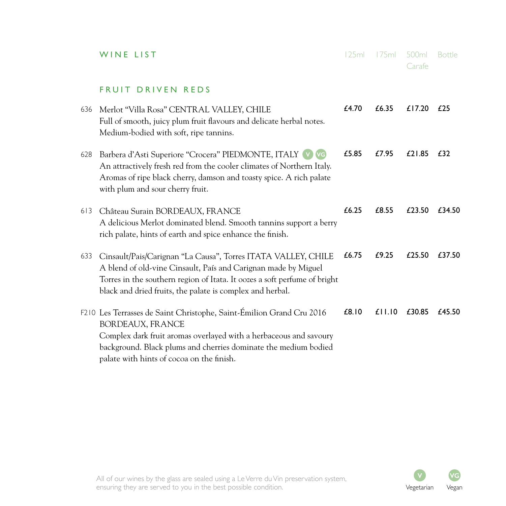|     | WINE LIST                                                                                                                                                                                                                                                                            | 125ml | 175ml           | 500ml<br>Carafe | <b>Bottle</b> |
|-----|--------------------------------------------------------------------------------------------------------------------------------------------------------------------------------------------------------------------------------------------------------------------------------------|-------|-----------------|-----------------|---------------|
|     | FRUIT DRIVEN REDS                                                                                                                                                                                                                                                                    |       |                 |                 |               |
| 636 | Merlot "Villa Rosa" CENTRAL VALLEY, CHILE<br>Full of smooth, juicy plum fruit flavours and delicate herbal notes.<br>Medium-bodied with soft, ripe tannins.                                                                                                                          | £4.70 | £6.35           | £17.20          | £25           |
| 628 | Barbera d'Asti Superiore "Crocera" PIEDMONTE, ITALY V VG<br>An attractively fresh red from the cooler climates of Northern Italy.<br>Aromas of ripe black cherry, damson and toasty spice. A rich palate<br>with plum and sour cherry fruit.                                         | £5.85 | £7.95           | £21.85          | £32           |
| 613 | Château Surain BORDEAUX, FRANCE<br>A delicious Merlot dominated blend. Smooth tannins support a berry<br>rich palate, hints of earth and spice enhance the finish.                                                                                                                   | £6.25 | £8.55           | £23.50          | £34.50        |
| 633 | Cinsault/Pais/Carignan "La Causa", Torres ITATA VALLEY, CHILE<br>A blend of old-vine Cinsault, País and Carignan made by Miguel<br>Torres in the southern region of Itata. It oozes a soft perfume of bright<br>black and dried fruits, the palate is complex and herbal.            | £6.75 | £9.25           | £25.50          | £37.50        |
|     | F210 Les Terrasses de Saint Christophe, Saint-Émilion Grand Cru 2016<br><b>BORDEAUX, FRANCE</b><br>Complex dark fruit aromas overlayed with a herbaceous and savoury<br>background. Black plums and cherries dominate the medium bodied<br>palate with hints of cocoa on the finish. | £8.10 | $£$   $.$   $0$ | £30.85          | £45.50        |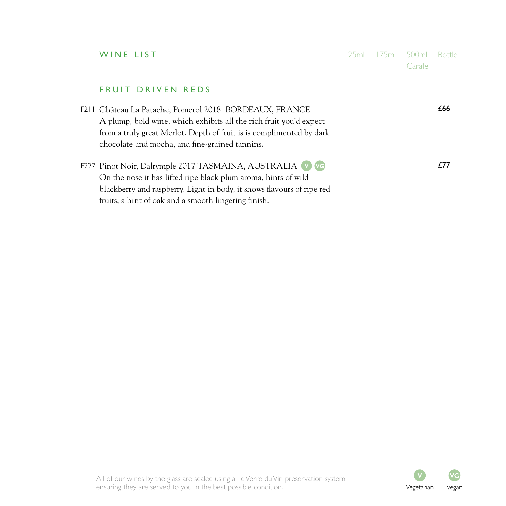| WINE LIST                                                                                                                                                                                                                                                    |  | 500ml<br>Carafe | <b>Bottle</b> |
|--------------------------------------------------------------------------------------------------------------------------------------------------------------------------------------------------------------------------------------------------------------|--|-----------------|---------------|
| FRUIT DRIVEN REDS                                                                                                                                                                                                                                            |  |                 |               |
| F211 Château La Patache, Pomerol 2018 BORDEAUX, FRANCE<br>A plump, bold wine, which exhibits all the rich fruit you'd expect<br>from a truly great Merlot. Depth of fruit is is complimented by dark<br>chocolate and mocha, and fine-grained tannins.       |  |                 | £66           |
| F227 Pinot Noir, Dalrymple 2017 TASMAINA, AUSTRALIA V VG<br>On the nose it has lifted ripe black plum aroma, hints of wild<br>blackberry and raspberry. Light in body, it shows flavours of ripe red<br>fruits, a hint of oak and a smooth lingering finish. |  |                 | £77           |

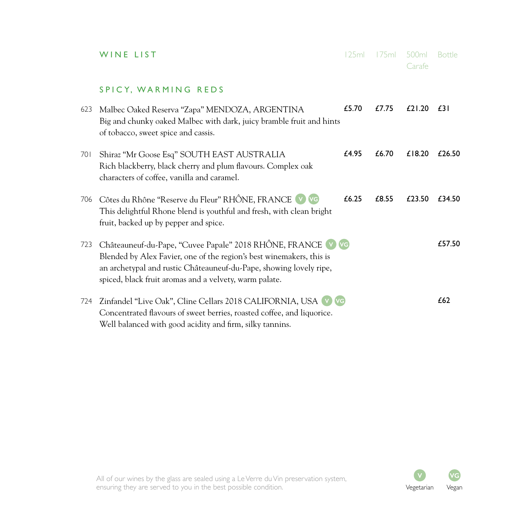|     | WINE LIST                                                                                                                                                                                                                                                           | 125ml | 175ml | 500ml<br>Carafe | <b>Bottle</b> |
|-----|---------------------------------------------------------------------------------------------------------------------------------------------------------------------------------------------------------------------------------------------------------------------|-------|-------|-----------------|---------------|
|     | SPICY, WARMING REDS                                                                                                                                                                                                                                                 |       |       |                 |               |
| 623 | Malbec Oaked Reserva "Zapa" MENDOZA, ARGENTINA<br>Big and chunky oaked Malbec with dark, juicy bramble fruit and hints<br>of tobacco, sweet spice and cassis.                                                                                                       | £5.70 | £7.75 | £21.20          | £31           |
| 701 | Shiraz "Mr Goose Esq" SOUTH EAST AUSTRALIA<br>Rich blackberry, black cherry and plum flavours. Complex oak<br>characters of coffee, vanilla and caramel.                                                                                                            | £4.95 | £6.70 | £18.20          | £26.50        |
| 706 | Côtes du Rhône "Reserve du Fleur" RHÔNE, FRANCE V VG<br>This delightful Rhone blend is youthful and fresh, with clean bright<br>fruit, backed up by pepper and spice.                                                                                               | £6.25 | £8.55 | £23.50          | f34.50        |
| 723 | Châteauneuf-du-Pape, "Cuvee Papale" 2018 RHÔNE, FRANCE V VG<br>Blended by Alex Favier, one of the region's best winemakers, this is<br>an archetypal and rustic Châteauneuf-du-Pape, showing lovely ripe,<br>spiced, black fruit aromas and a velvety, warm palate. |       |       |                 | £57.50        |
| 724 | Zinfandel "Live Oak", Cline Cellars 2018 CALIFORNIA, USA V VG<br>Concentrated flavours of sweet berries, roasted coffee, and liquorice.<br>Well balanced with good acidity and firm, silky tannins.                                                                 |       |       |                 | £62           |

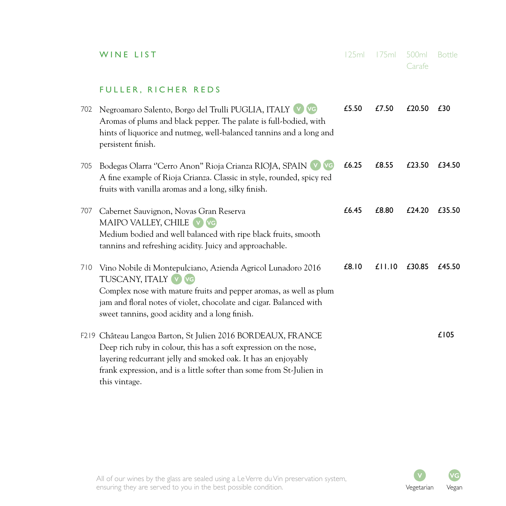|     | WINE LIST                                                                                                                                                                                                                                                                                  | 125ml | 175ml           | 500ml<br>Carafe | <b>Bottle</b> |
|-----|--------------------------------------------------------------------------------------------------------------------------------------------------------------------------------------------------------------------------------------------------------------------------------------------|-------|-----------------|-----------------|---------------|
|     | FULLER, RICHER REDS                                                                                                                                                                                                                                                                        |       |                 |                 |               |
| 702 | Negroamaro Salento, Borgo del Trulli PUGLIA, ITALY V VG<br>Aromas of plums and black pepper. The palate is full-bodied, with<br>hints of liquorice and nutmeg, well-balanced tannins and a long and<br>persistent finish.                                                                  | £5.50 | £7.50           | £20.50          | £30           |
| 705 | Bodegas Olarra "Cerro Anon" Rioja Crianza RIOJA, SPAIN V VG<br>A fine example of Rioja Crianza. Classic in style, rounded, spicy red<br>fruits with vanilla aromas and a long, silky finish.                                                                                               | £6.25 | £8.55           | £23.50          | £34.50        |
| 707 | Cabernet Sauvignon, Novas Gran Reserva<br>MAIPO VALLEY, CHILE<br>$(V)$ $(VG)$<br>Medium bodied and well balanced with ripe black fruits, smooth<br>tannins and refreshing acidity. Juicy and approachable.                                                                                 | £6.45 | £8.80           | £24.20          | £35.50        |
| 710 | Vino Nobile di Montepulciano, Azienda Agricol Lunadoro 2016<br>TUSCANY, ITALY V VG<br>Complex nose with mature fruits and pepper aromas, as well as plum<br>jam and floral notes of violet, chocolate and cigar. Balanced with<br>sweet tannins, good acidity and a long finish.           | £8.10 | $£$   $.$   $0$ | £30.85          | £45.50        |
|     | F219 Château Langoa Barton, St Julien 2016 BORDEAUX, FRANCE<br>Deep rich ruby in colour, this has a soft expression on the nose,<br>layering redcurrant jelly and smoked oak. It has an enjoyably<br>frank expression, and is a little softer than some from St-Julien in<br>this vintage. |       |                 |                 | £105          |

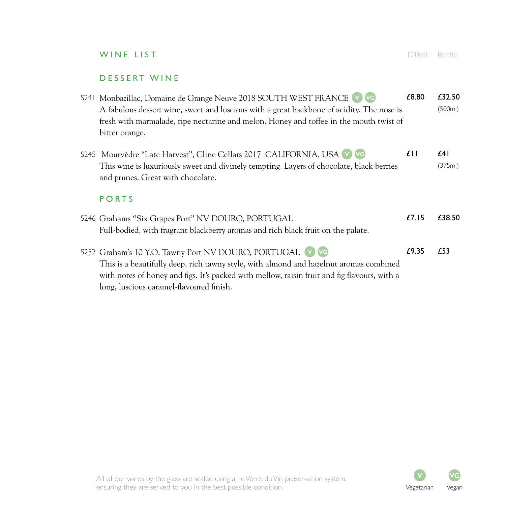|  | WINE LIST                                                                                                                                                                                                                                                                                 | $\cap$ ml | <b>Bottle</b>     |
|--|-------------------------------------------------------------------------------------------------------------------------------------------------------------------------------------------------------------------------------------------------------------------------------------------|-----------|-------------------|
|  | <b>DESSERT WINE</b>                                                                                                                                                                                                                                                                       |           |                   |
|  | S241 Monbazillac, Domaine de Grange Neuve 2018 SOUTH WEST FRANCE V VG<br>A fabulous dessert wine, sweet and luscious with a great backbone of acidity. The nose is<br>fresh with marmalade, ripe nectarine and melon. Honey and toffee in the mouth twist of<br>bitter orange.            | £8.80     | £32.50<br>(500ml) |
|  | S245 Mourvèdre "Late Harvest", Cline Cellars 2017 CALIFORNIA, USA V VG<br>This wine is luxuriously sweet and divinely tempting. Layers of chocolate, black berries<br>and prunes. Great with chocolate.                                                                                   | £II       | f41<br>(375ml)    |
|  | <b>PORTS</b>                                                                                                                                                                                                                                                                              |           |                   |
|  | S246 Grahams "Six Grapes Port" NV DOURO, PORTUGAL<br>Full-bodied, with fragrant blackberry aromas and rich black fruit on the palate.                                                                                                                                                     | £7.15     | £38.50            |
|  | S252 Graham's 10 Y.O. Tawny Port NV DOURO, PORTUGAL<br>This is a beautifully deep, rich tawny style, with almond and hazelnut aromas combined<br>with notes of honey and figs. It's packed with mellow, raisin fruit and fig flavours, with a<br>long, luscious caramel-flavoured finish. | £9.35     | £53               |